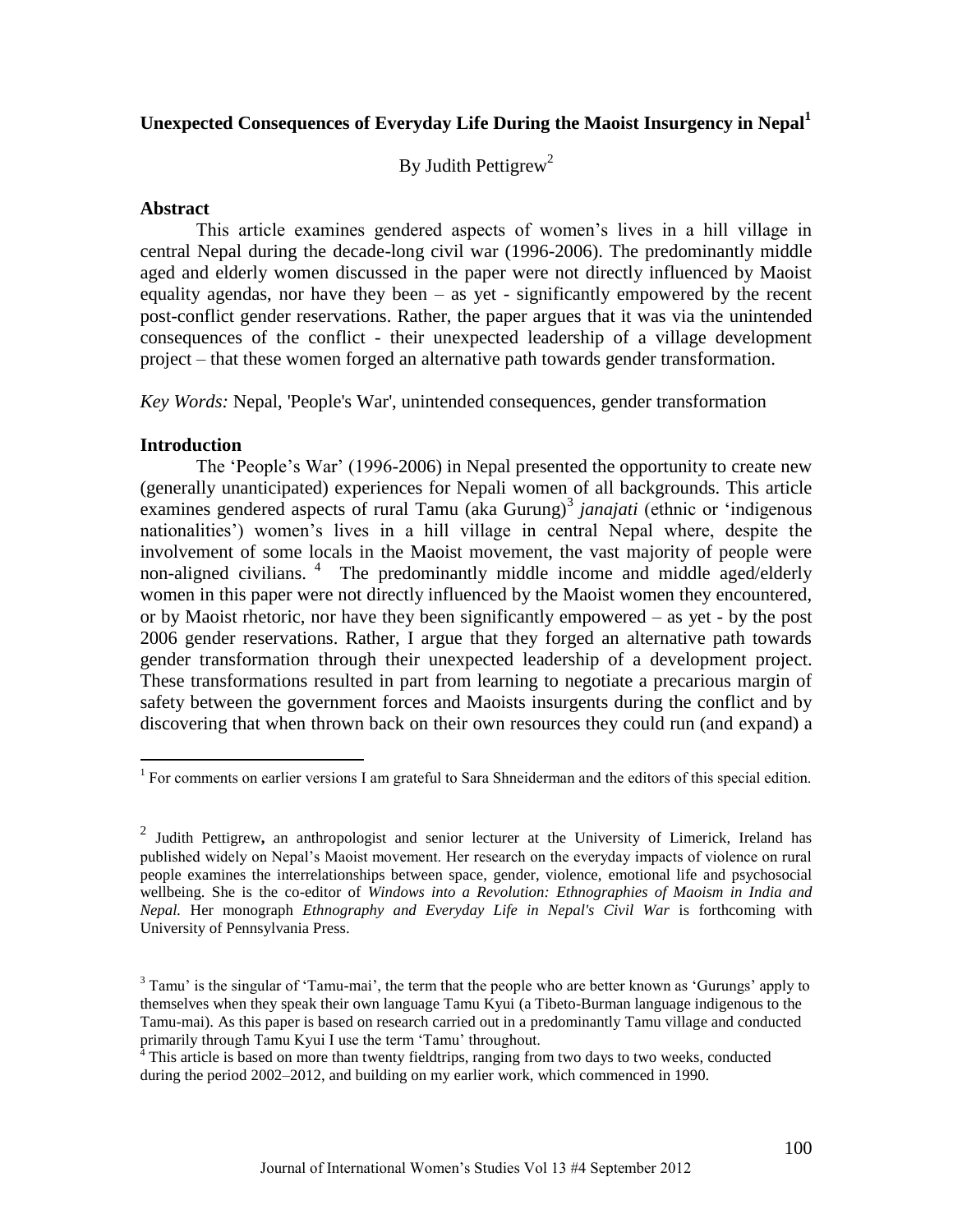# **Unexpected Consequences of Everyday Life During the Maoist Insurgency in Nepal<sup>1</sup>**

By Judith Pettigrew<sup>2</sup>

## **Abstract**

This article examines gendered aspects of women's lives in a hill village in central Nepal during the decade-long civil war (1996-2006). The predominantly middle aged and elderly women discussed in the paper were not directly influenced by Maoist equality agendas, nor have they been  $-$  as yet - significantly empowered by the recent post-conflict gender reservations. Rather, the paper argues that it was via the unintended consequences of the conflict - their unexpected leadership of a village development project – that these women forged an alternative path towards gender transformation.

*Key Words:* Nepal, 'People's War', unintended consequences, gender transformation

## **Introduction**

 $\overline{a}$ 

The 'People's War' (1996-2006) in Nepal presented the opportunity to create new (generally unanticipated) experiences for Nepali women of all backgrounds. This article examines gendered aspects of rural Tamu (aka Gurung)<sup>3</sup> janajati (ethnic or 'indigenous nationalities') women's lives in a hill village in central Nepal where, despite the involvement of some locals in the Maoist movement, the vast majority of people were non-aligned civilians. <sup>4</sup> The predominantly middle income and middle aged/elderly women in this paper were not directly influenced by the Maoist women they encountered, or by Maoist rhetoric, nor have they been significantly empowered – as yet - by the post 2006 gender reservations. Rather, I argue that they forged an alternative path towards gender transformation through their unexpected leadership of a development project. These transformations resulted in part from learning to negotiate a precarious margin of safety between the government forces and Maoists insurgents during the conflict and by discovering that when thrown back on their own resources they could run (and expand) a

<sup>&</sup>lt;sup>1</sup> For comments on earlier versions I am grateful to Sara Shneiderman and the editors of this special edition.

<sup>2</sup> Judith Pettigrew**,** an anthropologist and senior lecturer at the University of Limerick, Ireland has published widely on Nepal's Maoist movement. Her research on the everyday impacts of violence on rural people examines the interrelationships between space, gender, violence, emotional life and psychosocial wellbeing. She is the co-editor of *Windows into a Revolution: Ethnographies of Maoism in India and Nepal.* Her monograph *Ethnography and Everyday Life in Nepal's Civil War* is forthcoming with University of Pennsylvania Press.

 $3$  Tamu' is the singular of 'Tamu-mai', the term that the people who are better known as 'Gurungs' apply to themselves when they speak their own language Tamu Kyui (a Tibeto-Burman language indigenous to the Tamu-mai). As this paper is based on research carried out in a predominantly Tamu village and conducted primarily through Tamu Kyui I use the term 'Tamu' throughout.

<sup>&</sup>lt;sup>4</sup> This article is based on more than twenty fieldtrips, ranging from two days to two weeks, conducted during the period 2002–2012, and building on my earlier work, which commenced in 1990.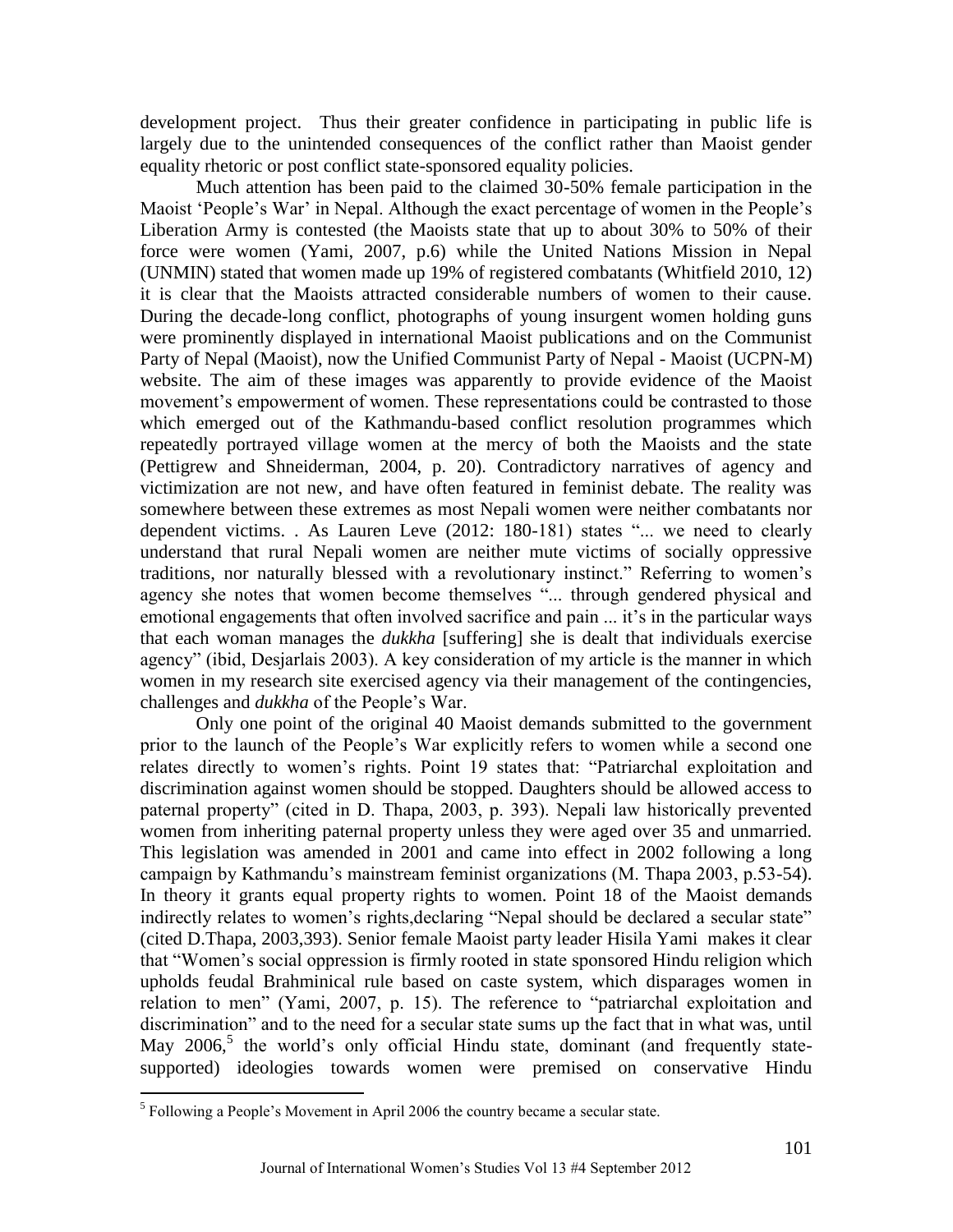development project. Thus their greater confidence in participating in public life is largely due to the unintended consequences of the conflict rather than Maoist gender equality rhetoric or post conflict state-sponsored equality policies.

Much attention has been paid to the claimed 30-50% female participation in the Maoist 'People's War' in Nepal. Although the exact percentage of women in the People's Liberation Army is contested (the Maoists state that up to about 30% to 50% of their force were women (Yami, 2007, p.6) while the United Nations Mission in Nepal (UNMIN) stated that women made up 19% of registered combatants (Whitfield 2010, 12) it is clear that the Maoists attracted considerable numbers of women to their cause. During the decade-long conflict, photographs of young insurgent women holding guns were prominently displayed in international Maoist publications and on the Communist Party of Nepal (Maoist), now the Unified Communist Party of Nepal - Maoist (UCPN-M) website. The aim of these images was apparently to provide evidence of the Maoist movement's empowerment of women. These representations could be contrasted to those which emerged out of the Kathmandu-based conflict resolution programmes which repeatedly portrayed village women at the mercy of both the Maoists and the state (Pettigrew and Shneiderman, 2004, p. 20). Contradictory narratives of agency and victimization are not new, and have often featured in feminist debate. The reality was somewhere between these extremes as most Nepali women were neither combatants nor dependent victims. . As Lauren Leve (2012: 180-181) states "... we need to clearly understand that rural Nepali women are neither mute victims of socially oppressive traditions, nor naturally blessed with a revolutionary instinct." Referring to women's agency she notes that women become themselves "... through gendered physical and emotional engagements that often involved sacrifice and pain ... it's in the particular ways that each woman manages the *dukkha* [suffering] she is dealt that individuals exercise agency" (ibid, Desjarlais 2003). A key consideration of my article is the manner in which women in my research site exercised agency via their management of the contingencies, challenges and *dukkha* of the People's War.

Only one point of the original 40 Maoist demands submitted to the government prior to the launch of the People's War explicitly refers to women while a second one relates directly to women's rights. Point 19 states that: "Patriarchal exploitation and discrimination against women should be stopped. Daughters should be allowed access to paternal property" (cited in D. Thapa, 2003, p. 393). Nepali law historically prevented women from inheriting paternal property unless they were aged over 35 and unmarried. This legislation was amended in 2001 and came into effect in 2002 following a long campaign by Kathmandu's mainstream feminist organizations (M. Thapa 2003, p.53-54). In theory it grants equal property rights to women. Point 18 of the Maoist demands indirectly relates to women's rights, declaring "Nepal should be declared a secular state" (cited D.Thapa, 2003,393). Senior female Maoist party leader Hisila Yami makes it clear that "Women's social oppression is firmly rooted in state sponsored Hindu religion which upholds feudal Brahminical rule based on caste system, which disparages women in relation to men" (Yami, 2007, p. 15). The reference to "patriarchal exploitation and discrimination" and to the need for a secular state sums up the fact that in what was, until May 2006,<sup>5</sup> the world's only official Hindu state, dominant (and frequently statesupported) ideologies towards women were premised on conservative Hindu

 5 Following a People's Movement in April 2006 the country became a secular state.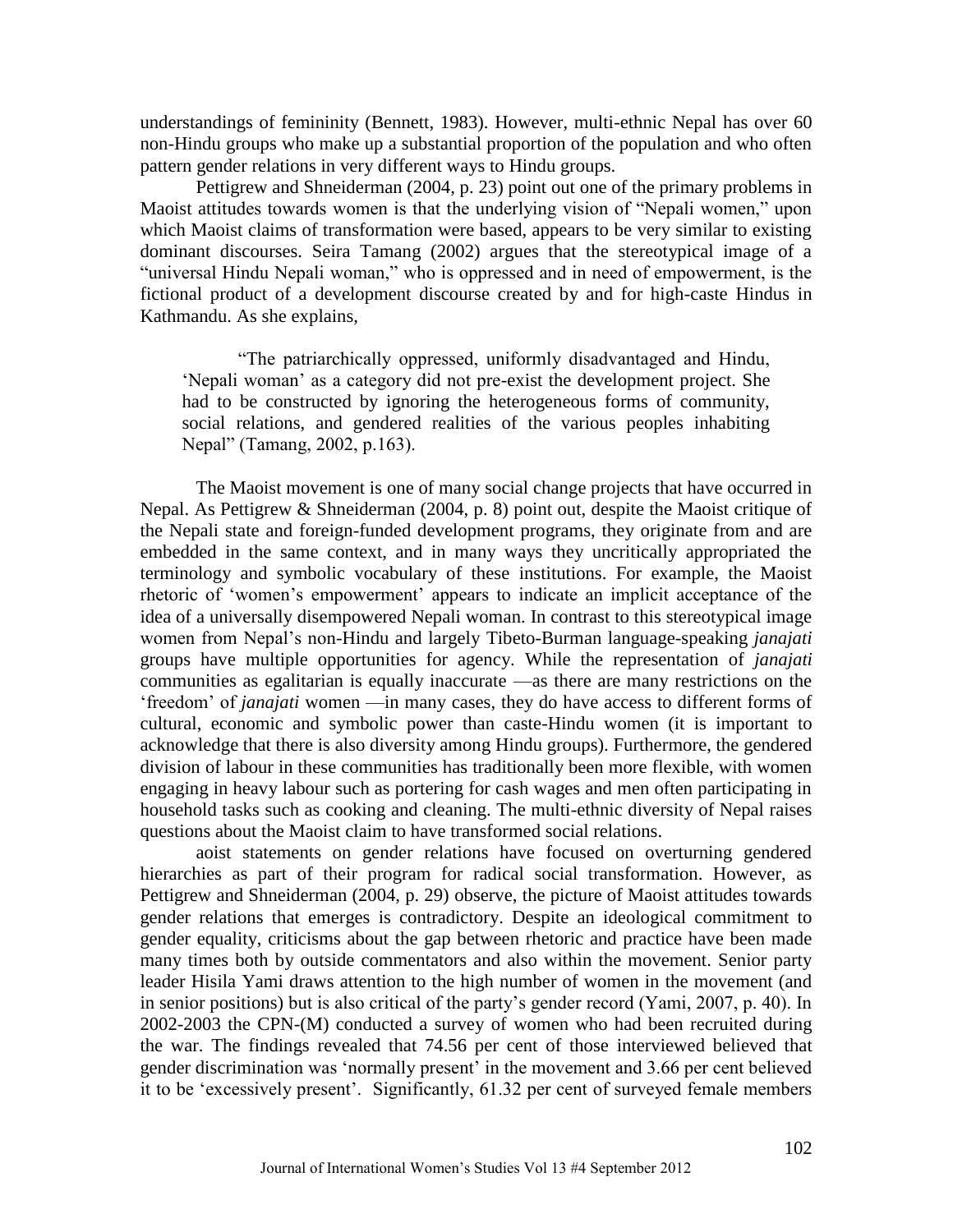understandings of femininity (Bennett, 1983). However, multi-ethnic Nepal has over 60 non-Hindu groups who make up a substantial proportion of the population and who often pattern gender relations in very different ways to Hindu groups.

Pettigrew and Shneiderman (2004, p. 23) point out one of the primary problems in Maoist attitudes towards women is that the underlying vision of "Nepali women," upon which Maoist claims of transformation were based, appears to be very similar to existing dominant discourses. Seira Tamang (2002) argues that the stereotypical image of a "universal Hindu Nepali woman," who is oppressed and in need of empowerment, is the fictional product of a development discourse created by and for high-caste Hindus in Kathmandu. As she explains,

―The patriarchically oppressed, uniformly disadvantaged and Hindu, ‗Nepali woman' as a category did not pre-exist the development project. She had to be constructed by ignoring the heterogeneous forms of community, social relations, and gendered realities of the various peoples inhabiting Nepal" (Tamang, 2002, p.163).

The Maoist movement is one of many social change projects that have occurred in Nepal. As Pettigrew & Shneiderman (2004, p. 8) point out, despite the Maoist critique of the Nepali state and foreign-funded development programs, they originate from and are embedded in the same context, and in many ways they uncritically appropriated the terminology and symbolic vocabulary of these institutions. For example, the Maoist rhetoric of ‗women's empowerment' appears to indicate an implicit acceptance of the idea of a universally disempowered Nepali woman. In contrast to this stereotypical image women from Nepal's non-Hindu and largely Tibeto-Burman language-speaking *janajati*  groups have multiple opportunities for agency. While the representation of *janajati* communities as egalitarian is equally inaccurate —as there are many restrictions on the ‗freedom' of *janajati* women —in many cases, they do have access to different forms of cultural, economic and symbolic power than caste-Hindu women (it is important to acknowledge that there is also diversity among Hindu groups). Furthermore, the gendered division of labour in these communities has traditionally been more flexible, with women engaging in heavy labour such as portering for cash wages and men often participating in household tasks such as cooking and cleaning. The multi-ethnic diversity of Nepal raises questions about the Maoist claim to have transformed social relations.

aoist statements on gender relations have focused on overturning gendered hierarchies as part of their program for radical social transformation. However, as Pettigrew and Shneiderman (2004, p. 29) observe, the picture of Maoist attitudes towards gender relations that emerges is contradictory. Despite an ideological commitment to gender equality, criticisms about the gap between rhetoric and practice have been made many times both by outside commentators and also within the movement. Senior party leader Hisila Yami draws attention to the high number of women in the movement (and in senior positions) but is also critical of the party's gender record (Yami, 2007, p. 40). In 2002-2003 the CPN-(M) conducted a survey of women who had been recruited during the war. The findings revealed that 74.56 per cent of those interviewed believed that gender discrimination was 'normally present' in the movement and 3.66 per cent believed it to be ‗excessively present'. Significantly, 61.32 per cent of surveyed female members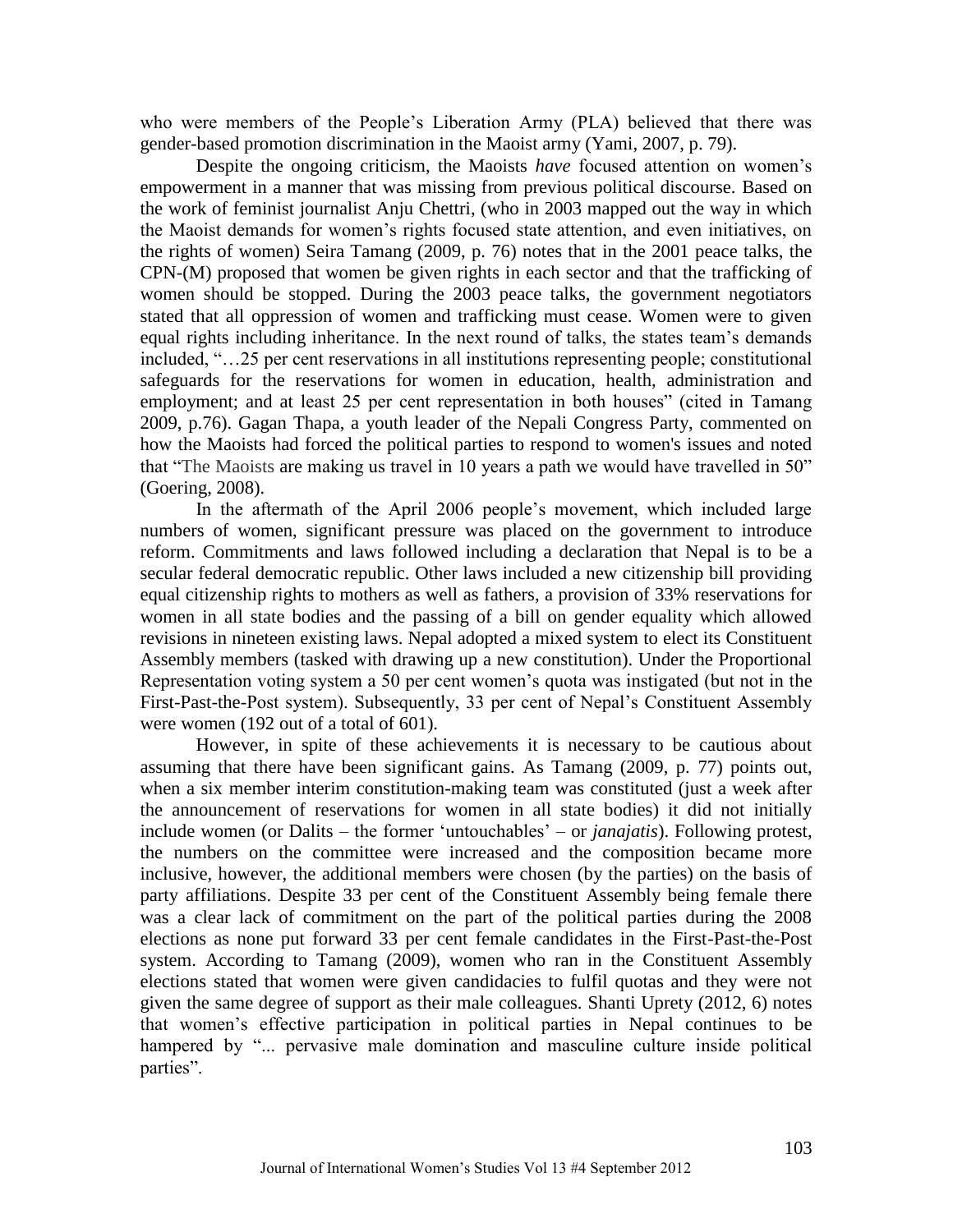who were members of the People's Liberation Army (PLA) believed that there was gender-based promotion discrimination in the Maoist army (Yami, 2007, p. 79).

Despite the ongoing criticism, the Maoists *have* focused attention on women's empowerment in a manner that was missing from previous political discourse. Based on the work of feminist journalist Anju Chettri, (who in 2003 mapped out the way in which the Maoist demands for women's rights focused state attention, and even initiatives, on the rights of women) Seira Tamang (2009, p. 76) notes that in the 2001 peace talks, the CPN-(M) proposed that women be given rights in each sector and that the trafficking of women should be stopped. During the 2003 peace talks, the government negotiators stated that all oppression of women and trafficking must cease. Women were to given equal rights including inheritance. In the next round of talks, the states team's demands included, "...25 per cent reservations in all institutions representing people; constitutional safeguards for the reservations for women in education, health, administration and employment; and at least 25 per cent representation in both houses" (cited in Tamang 2009, p.76). Gagan Thapa, a youth leader of the Nepali Congress Party, commented on how the Maoists had forced the political parties to respond to women's issues and noted that "The Maoists are making us travel in 10 years a path we would have travelled in  $50$ " (Goering, 2008).

In the aftermath of the April 2006 people's movement, which included large numbers of women, significant pressure was placed on the government to introduce reform. Commitments and laws followed including a declaration that Nepal is to be a secular federal democratic republic. Other laws included a new citizenship bill providing equal citizenship rights to mothers as well as fathers, a provision of 33% reservations for women in all state bodies and the passing of a bill on gender equality which allowed revisions in nineteen existing laws. Nepal adopted a mixed system to elect its Constituent Assembly members (tasked with drawing up a new constitution). Under the Proportional Representation voting system a 50 per cent women's quota was instigated (but not in the First-Past-the-Post system). Subsequently, 33 per cent of Nepal's Constituent Assembly were women (192 out of a total of 601).

However, in spite of these achievements it is necessary to be cautious about assuming that there have been significant gains. As Tamang (2009, p. 77) points out, when a six member interim constitution-making team was constituted (just a week after the announcement of reservations for women in all state bodies) it did not initially include women (or Dalits – the former 'untouchables' – or *janajatis*). Following protest, the numbers on the committee were increased and the composition became more inclusive, however, the additional members were chosen (by the parties) on the basis of party affiliations. Despite 33 per cent of the Constituent Assembly being female there was a clear lack of commitment on the part of the political parties during the 2008 elections as none put forward 33 per cent female candidates in the First-Past-the-Post system. According to Tamang (2009), women who ran in the Constituent Assembly elections stated that women were given candidacies to fulfil quotas and they were not given the same degree of support as their male colleagues. Shanti Uprety (2012, 6) notes that women's effective participation in political parties in Nepal continues to be hampered by "... pervasive male domination and masculine culture inside political parties".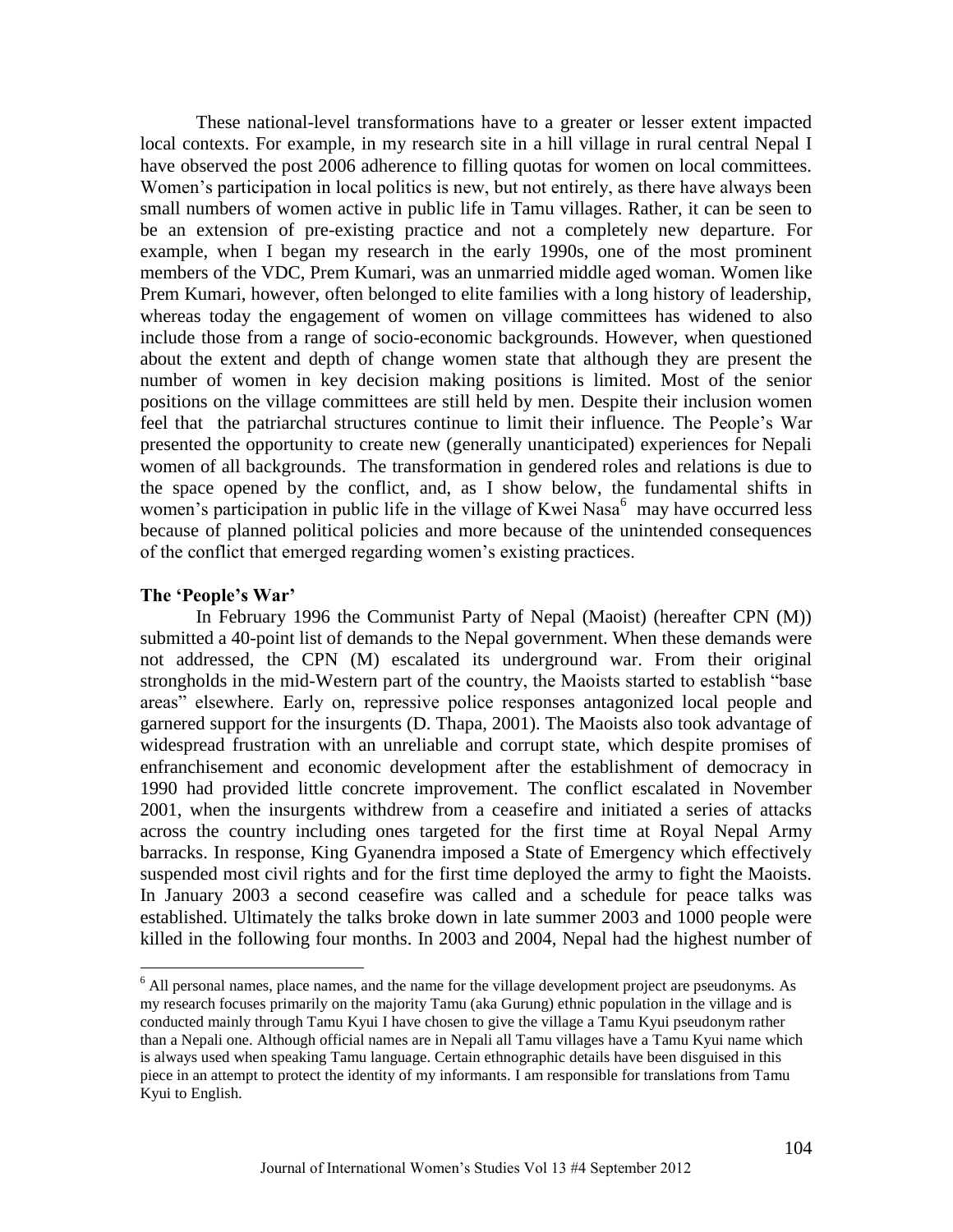These national-level transformations have to a greater or lesser extent impacted local contexts. For example, in my research site in a hill village in rural central Nepal I have observed the post 2006 adherence to filling quotas for women on local committees. Women's participation in local politics is new, but not entirely, as there have always been small numbers of women active in public life in Tamu villages. Rather, it can be seen to be an extension of pre-existing practice and not a completely new departure. For example, when I began my research in the early 1990s, one of the most prominent members of the VDC, Prem Kumari, was an unmarried middle aged woman. Women like Prem Kumari, however, often belonged to elite families with a long history of leadership, whereas today the engagement of women on village committees has widened to also include those from a range of socio-economic backgrounds. However, when questioned about the extent and depth of change women state that although they are present the number of women in key decision making positions is limited. Most of the senior positions on the village committees are still held by men. Despite their inclusion women feel that the patriarchal structures continue to limit their influence. The People's War presented the opportunity to create new (generally unanticipated) experiences for Nepali women of all backgrounds. The transformation in gendered roles and relations is due to the space opened by the conflict, and, as I show below, the fundamental shifts in women's participation in public life in the village of Kwei Nasa<sup>6</sup> may have occurred less because of planned political policies and more because of the unintended consequences of the conflict that emerged regarding women's existing practices.

## **The 'People's War'**

 $\overline{a}$ 

In February 1996 the Communist Party of Nepal (Maoist) (hereafter CPN (M)) submitted a 40-point list of demands to the Nepal government. When these demands were not addressed, the CPN (M) escalated its underground war. From their original strongholds in the mid-Western part of the country, the Maoists started to establish "base" areas" elsewhere. Early on, repressive police responses antagonized local people and garnered support for the insurgents (D. Thapa, 2001). The Maoists also took advantage of widespread frustration with an unreliable and corrupt state, which despite promises of enfranchisement and economic development after the establishment of democracy in 1990 had provided little concrete improvement. The conflict escalated in November 2001, when the insurgents withdrew from a ceasefire and initiated a series of attacks across the country including ones targeted for the first time at Royal Nepal Army barracks. In response, King Gyanendra imposed a State of Emergency which effectively suspended most civil rights and for the first time deployed the army to fight the Maoists. In January 2003 a second ceasefire was called and a schedule for peace talks was established. Ultimately the talks broke down in late summer 2003 and 1000 people were killed in the following four months. In 2003 and 2004, Nepal had the highest number of

 $<sup>6</sup>$  All personal names, place names, and the name for the village development project are pseudonyms. As</sup> my research focuses primarily on the majority Tamu (aka Gurung) ethnic population in the village and is conducted mainly through Tamu Kyui I have chosen to give the village a Tamu Kyui pseudonym rather than a Nepali one. Although official names are in Nepali all Tamu villages have a Tamu Kyui name which is always used when speaking Tamu language. Certain ethnographic details have been disguised in this piece in an attempt to protect the identity of my informants. I am responsible for translations from Tamu Kyui to English.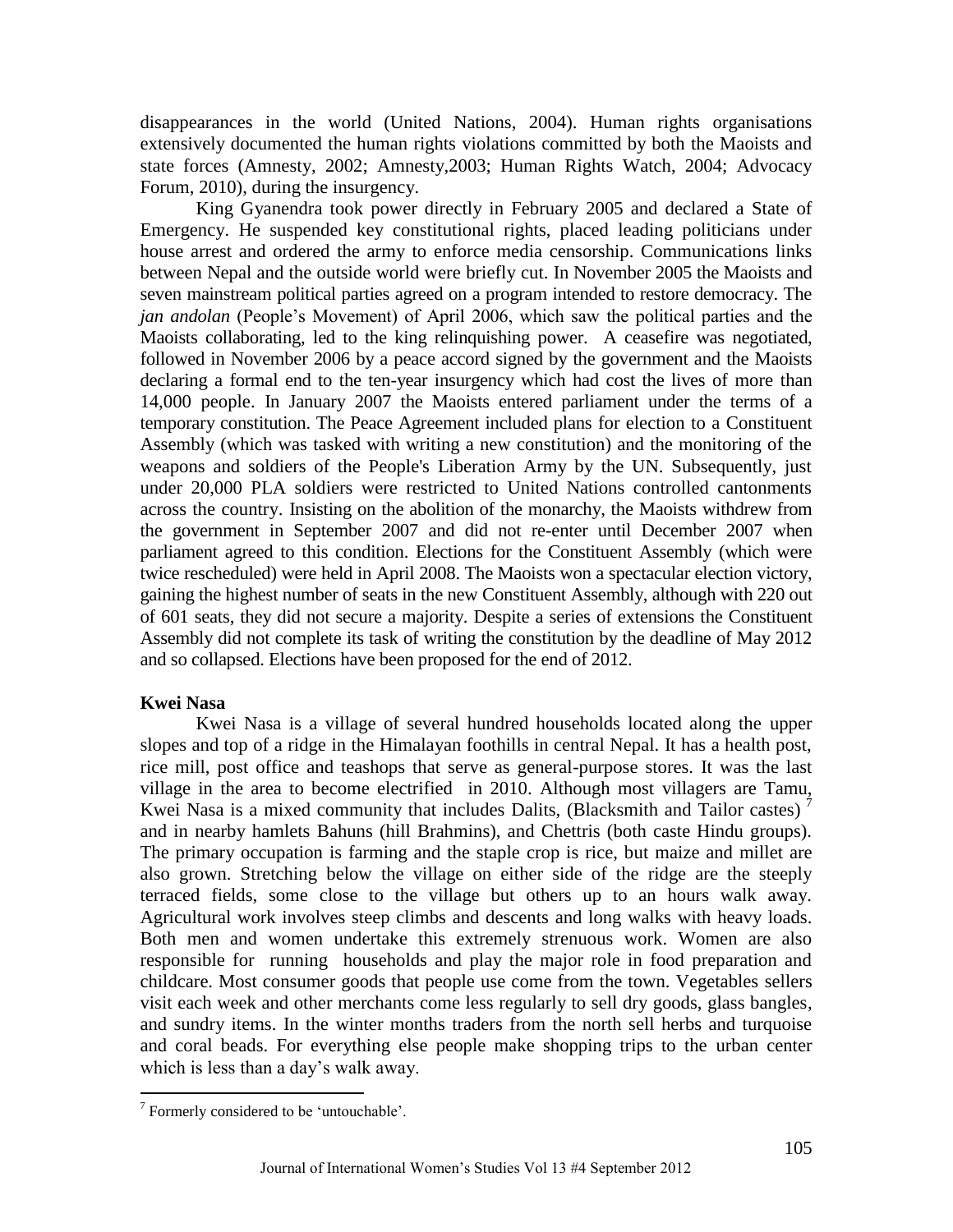disappearances in the world (United Nations, 2004). Human rights organisations extensively documented the human rights violations committed by both the Maoists and state forces (Amnesty, 2002; Amnesty,2003; Human Rights Watch, 2004; Advocacy Forum, 2010), during the insurgency.

King Gyanendra took power directly in February 2005 and declared a State of Emergency. He suspended key constitutional rights, placed leading politicians under house arrest and ordered the army to enforce media censorship. Communications links between Nepal and the outside world were briefly cut. In November 2005 the Maoists and seven mainstream political parties agreed on a program intended to restore democracy. The *jan andolan* (People's Movement) of April 2006, which saw the political parties and the Maoists collaborating, led to the king relinquishing power. A ceasefire was negotiated, followed in November 2006 by a peace accord signed by the government and the Maoists declaring a formal end to the ten-year insurgency which had cost the lives of more than 14,000 people. In January 2007 the Maoists entered parliament under the terms of a temporary constitution. The Peace Agreement included plans for election to a Constituent Assembly (which was tasked with writing a new constitution) and the monitoring of the weapons and soldiers of the People's Liberation Army by the UN. Subsequently, just under 20,000 PLA soldiers were restricted to United Nations controlled cantonments across the country. Insisting on the abolition of the monarchy, the Maoists withdrew from the government in September 2007 and did not re-enter until December 2007 when parliament agreed to this condition. Elections for the Constituent Assembly (which were twice rescheduled) were held in April 2008. The Maoists won a spectacular election victory, gaining the highest number of seats in the new Constituent Assembly, although with 220 out of 601 seats, they did not secure a majority. Despite a series of extensions the Constituent Assembly did not complete its task of writing the constitution by the deadline of May 2012 and so collapsed. Elections have been proposed for the end of 2012.

## **Kwei Nasa**

 $\overline{a}$ 

Kwei Nasa is a village of several hundred households located along the upper slopes and top of a ridge in the Himalayan foothills in central Nepal. It has a health post, rice mill, post office and teashops that serve as general-purpose stores. It was the last village in the area to become electrified in 2010. Although most villagers are Tamu, Kwei Nasa is a mixed community that includes Dalits, (Blacksmith and Tailor castes)<sup>7</sup> and in nearby hamlets Bahuns (hill Brahmins), and Chettris (both caste Hindu groups). The primary occupation is farming and the staple crop is rice, but maize and millet are also grown. Stretching below the village on either side of the ridge are the steeply terraced fields, some close to the village but others up to an hours walk away. Agricultural work involves steep climbs and descents and long walks with heavy loads. Both men and women undertake this extremely strenuous work. Women are also responsible for running households and play the major role in food preparation and childcare. Most consumer goods that people use come from the town. Vegetables sellers visit each week and other merchants come less regularly to sell dry goods, glass bangles, and sundry items. In the winter months traders from the north sell herbs and turquoise and coral beads. For everything else people make shopping trips to the urban center which is less than a day's walk away.

 $7$  Formerly considered to be 'untouchable'.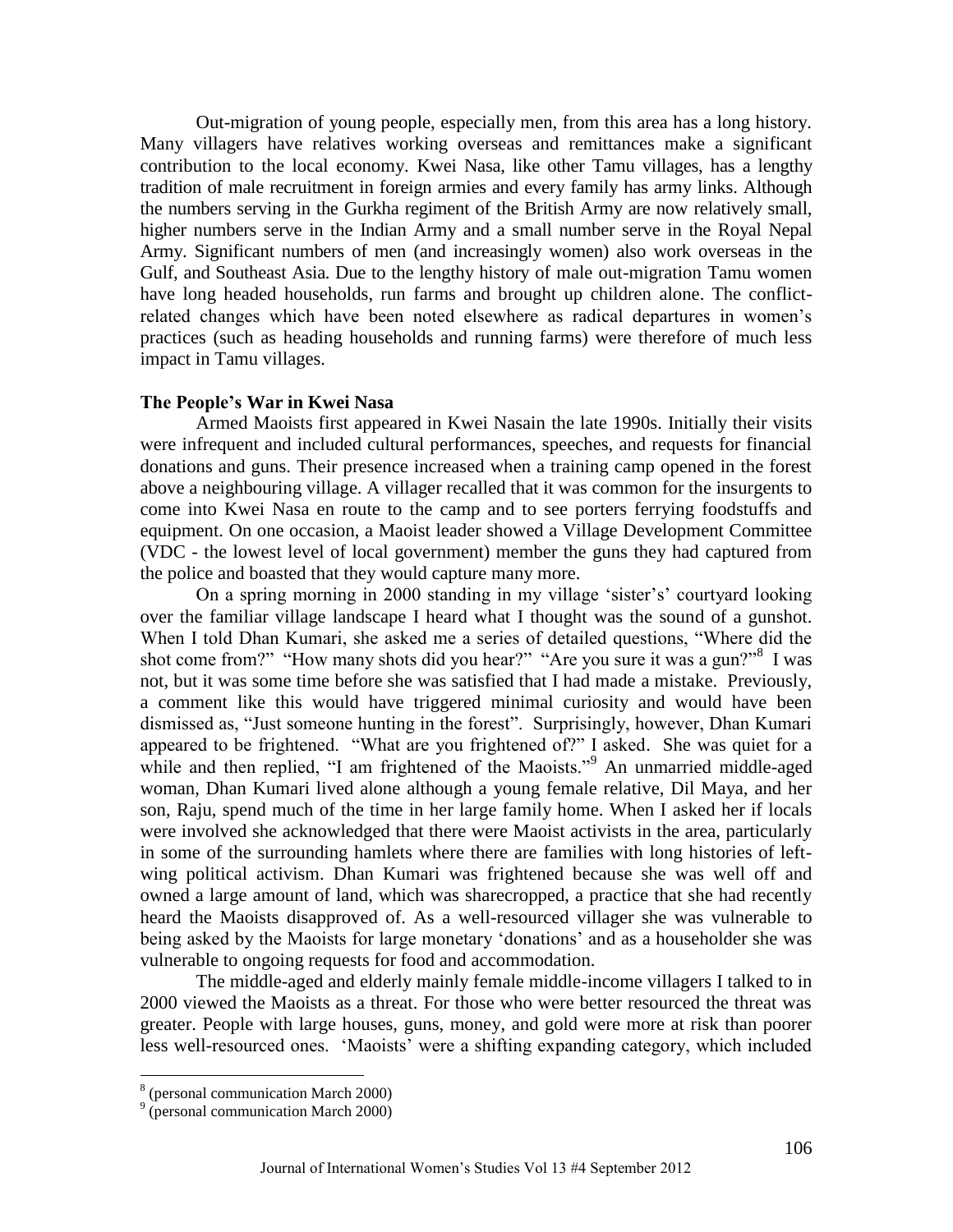Out-migration of young people, especially men, from this area has a long history. Many villagers have relatives working overseas and remittances make a significant contribution to the local economy. Kwei Nasa, like other Tamu villages, has a lengthy tradition of male recruitment in foreign armies and every family has army links. Although the numbers serving in the Gurkha regiment of the British Army are now relatively small, higher numbers serve in the Indian Army and a small number serve in the Royal Nepal Army. Significant numbers of men (and increasingly women) also work overseas in the Gulf, and Southeast Asia. Due to the lengthy history of male out-migration Tamu women have long headed households, run farms and brought up children alone. The conflictrelated changes which have been noted elsewhere as radical departures in women's practices (such as heading households and running farms) were therefore of much less impact in Tamu villages.

## **The People's War in Kwei Nasa**

Armed Maoists first appeared in Kwei Nasain the late 1990s. Initially their visits were infrequent and included cultural performances, speeches, and requests for financial donations and guns. Their presence increased when a training camp opened in the forest above a neighbouring village. A villager recalled that it was common for the insurgents to come into Kwei Nasa en route to the camp and to see porters ferrying foodstuffs and equipment. On one occasion, a Maoist leader showed a Village Development Committee (VDC - the lowest level of local government) member the guns they had captured from the police and boasted that they would capture many more.

On a spring morning in 2000 standing in my village 'sister's' courtyard looking over the familiar village landscape I heard what I thought was the sound of a gunshot. When I told Dhan Kumari, she asked me a series of detailed questions, "Where did the shot come from?" "How many shots did you hear?" "Are you sure it was a gun?" I was not, but it was some time before she was satisfied that I had made a mistake. Previously, a comment like this would have triggered minimal curiosity and would have been dismissed as, "Just someone hunting in the forest". Surprisingly, however, Dhan Kumari appeared to be frightened. "What are you frightened of?" I asked. She was quiet for a while and then replied,  $\cdot$ I am frightened of the Maoists.<sup>99</sup> An unmarried middle-aged woman, Dhan Kumari lived alone although a young female relative, Dil Maya, and her son, Raju, spend much of the time in her large family home. When I asked her if locals were involved she acknowledged that there were Maoist activists in the area, particularly in some of the surrounding hamlets where there are families with long histories of leftwing political activism. Dhan Kumari was frightened because she was well off and owned a large amount of land, which was sharecropped, a practice that she had recently heard the Maoists disapproved of. As a well-resourced villager she was vulnerable to being asked by the Maoists for large monetary 'donations' and as a householder she was vulnerable to ongoing requests for food and accommodation.

The middle-aged and elderly mainly female middle-income villagers I talked to in 2000 viewed the Maoists as a threat. For those who were better resourced the threat was greater. People with large houses, guns, money, and gold were more at risk than poorer less well-resourced ones. ‗Maoists' were a shifting expanding category, which included

<sup>8</sup> (personal communication March 2000)

<sup>&</sup>lt;sup>9</sup> (personal communication March 2000)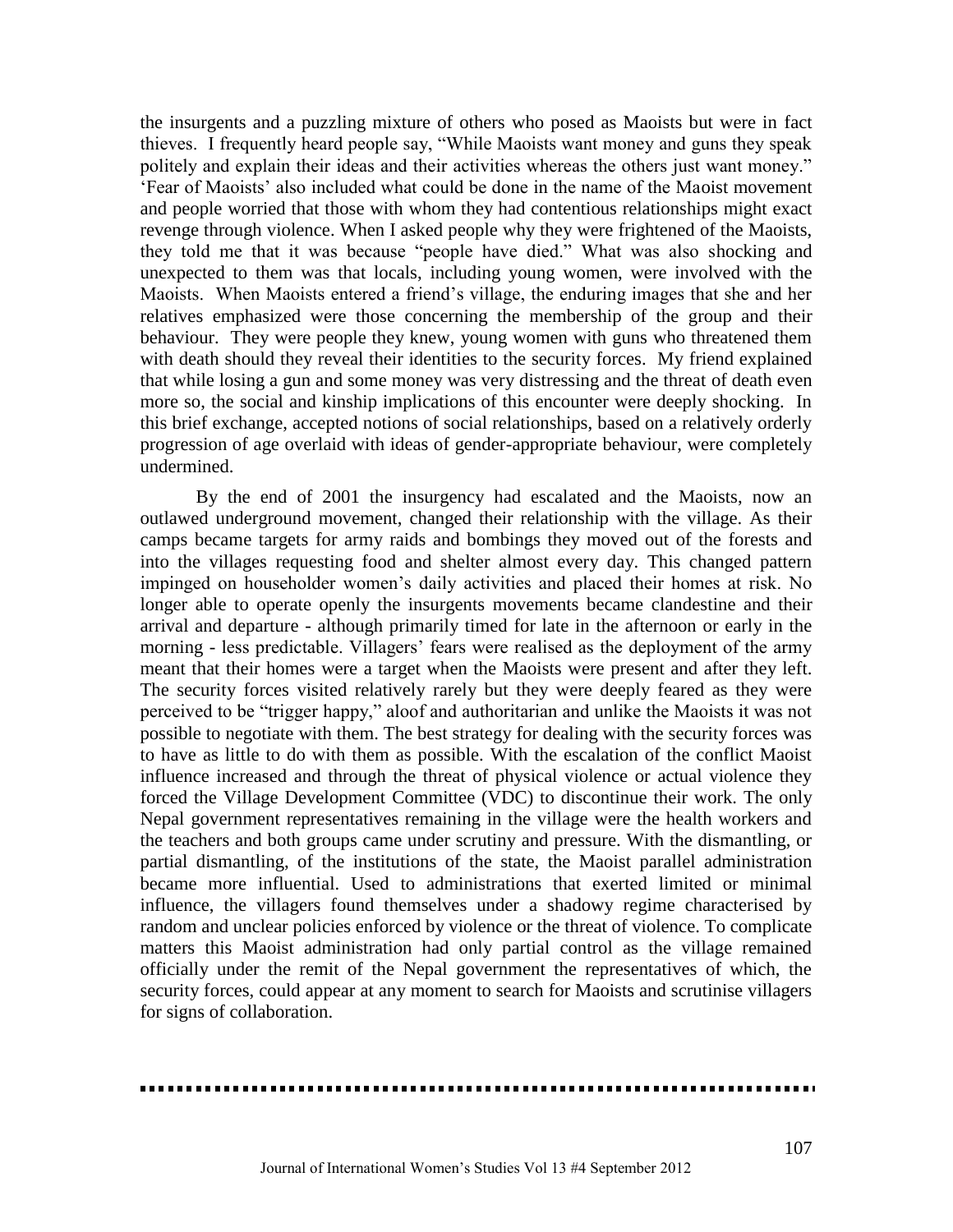the insurgents and a puzzling mixture of others who posed as Maoists but were in fact thieves. I frequently heard people say, "While Maoists want money and guns they speak politely and explain their ideas and their activities whereas the others just want money." ‗Fear of Maoists' also included what could be done in the name of the Maoist movement and people worried that those with whom they had contentious relationships might exact revenge through violence. When I asked people why they were frightened of the Maoists, they told me that it was because "people have died." What was also shocking and unexpected to them was that locals, including young women, were involved with the Maoists. When Maoists entered a friend's village, the enduring images that she and her relatives emphasized were those concerning the membership of the group and their behaviour. They were people they knew, young women with guns who threatened them with death should they reveal their identities to the security forces. My friend explained that while losing a gun and some money was very distressing and the threat of death even more so, the social and kinship implications of this encounter were deeply shocking. In this brief exchange, accepted notions of social relationships, based on a relatively orderly progression of age overlaid with ideas of gender-appropriate behaviour, were completely undermined.

By the end of 2001 the insurgency had escalated and the Maoists, now an outlawed underground movement, changed their relationship with the village. As their camps became targets for army raids and bombings they moved out of the forests and into the villages requesting food and shelter almost every day. This changed pattern impinged on householder women's daily activities and placed their homes at risk. No longer able to operate openly the insurgents movements became clandestine and their arrival and departure - although primarily timed for late in the afternoon or early in the morning - less predictable. Villagers' fears were realised as the deployment of the army meant that their homes were a target when the Maoists were present and after they left. The security forces visited relatively rarely but they were deeply feared as they were perceived to be "trigger happy," aloof and authoritarian and unlike the Maoists it was not possible to negotiate with them. The best strategy for dealing with the security forces was to have as little to do with them as possible. With the escalation of the conflict Maoist influence increased and through the threat of physical violence or actual violence they forced the Village Development Committee (VDC) to discontinue their work. The only Nepal government representatives remaining in the village were the health workers and the teachers and both groups came under scrutiny and pressure. With the dismantling, or partial dismantling, of the institutions of the state, the Maoist parallel administration became more influential. Used to administrations that exerted limited or minimal influence, the villagers found themselves under a shadowy regime characterised by random and unclear policies enforced by violence or the threat of violence. To complicate matters this Maoist administration had only partial control as the village remained officially under the remit of the Nepal government the representatives of which, the security forces, could appear at any moment to search for Maoists and scrutinise villagers for signs of collaboration.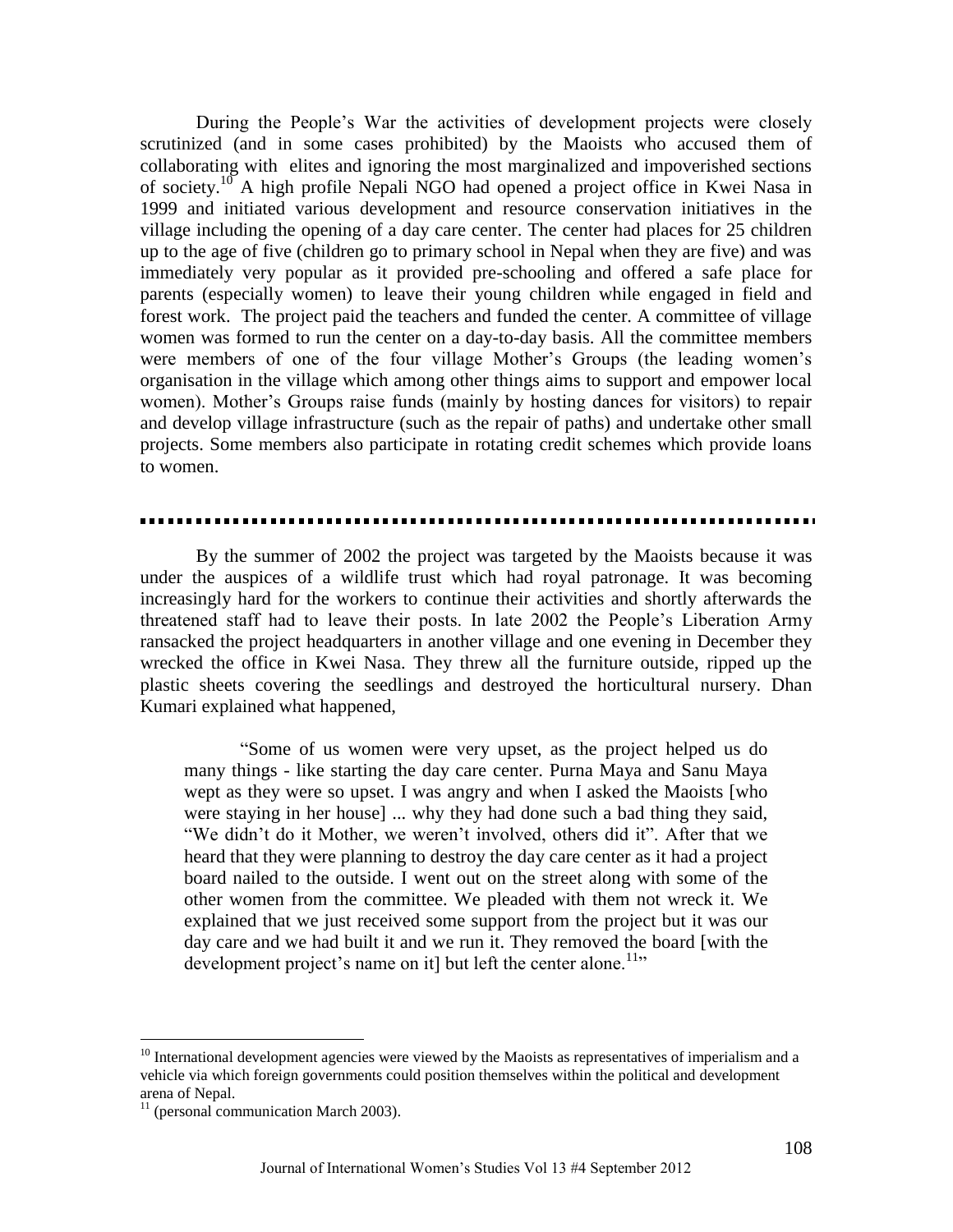During the People's War the activities of development projects were closely scrutinized (and in some cases prohibited) by the Maoists who accused them of collaborating with elites and ignoring the most marginalized and impoverished sections of society.<sup>10</sup> A high profile Nepali NGO had opened a project office in Kwei Nasa in 1999 and initiated various development and resource conservation initiatives in the village including the opening of a day care center. The center had places for 25 children up to the age of five (children go to primary school in Nepal when they are five) and was immediately very popular as it provided pre-schooling and offered a safe place for parents (especially women) to leave their young children while engaged in field and forest work. The project paid the teachers and funded the center. A committee of village women was formed to run the center on a day-to-day basis. All the committee members were members of one of the four village Mother's Groups (the leading women's organisation in the village which among other things aims to support and empower local women). Mother's Groups raise funds (mainly by hosting dances for visitors) to repair and develop village infrastructure (such as the repair of paths) and undertake other small projects. Some members also participate in rotating credit schemes which provide loans to women.

By the summer of 2002 the project was targeted by the Maoists because it was under the auspices of a wildlife trust which had royal patronage. It was becoming increasingly hard for the workers to continue their activities and shortly afterwards the threatened staff had to leave their posts. In late 2002 the People's Liberation Army ransacked the project headquarters in another village and one evening in December they wrecked the office in Kwei Nasa. They threw all the furniture outside, ripped up the plastic sheets covering the seedlings and destroyed the horticultural nursery. Dhan Kumari explained what happened,

―Some of us women were very upset, as the project helped us do many things - like starting the day care center. Purna Maya and Sanu Maya wept as they were so upset. I was angry and when I asked the Maoists [who were staying in her house] ... why they had done such a bad thing they said, "We didn't do it Mother, we weren't involved, others did it". After that we heard that they were planning to destroy the day care center as it had a project board nailed to the outside. I went out on the street along with some of the other women from the committee. We pleaded with them not wreck it. We explained that we just received some support from the project but it was our day care and we had built it and we run it. They removed the board [with the development project's name on it] but left the center alone.<sup>11</sup>

 $10$  International development agencies were viewed by the Maoists as representatives of imperialism and a vehicle via which foreign governments could position themselves within the political and development arena of Nepal.

 $11$  (personal communication March 2003).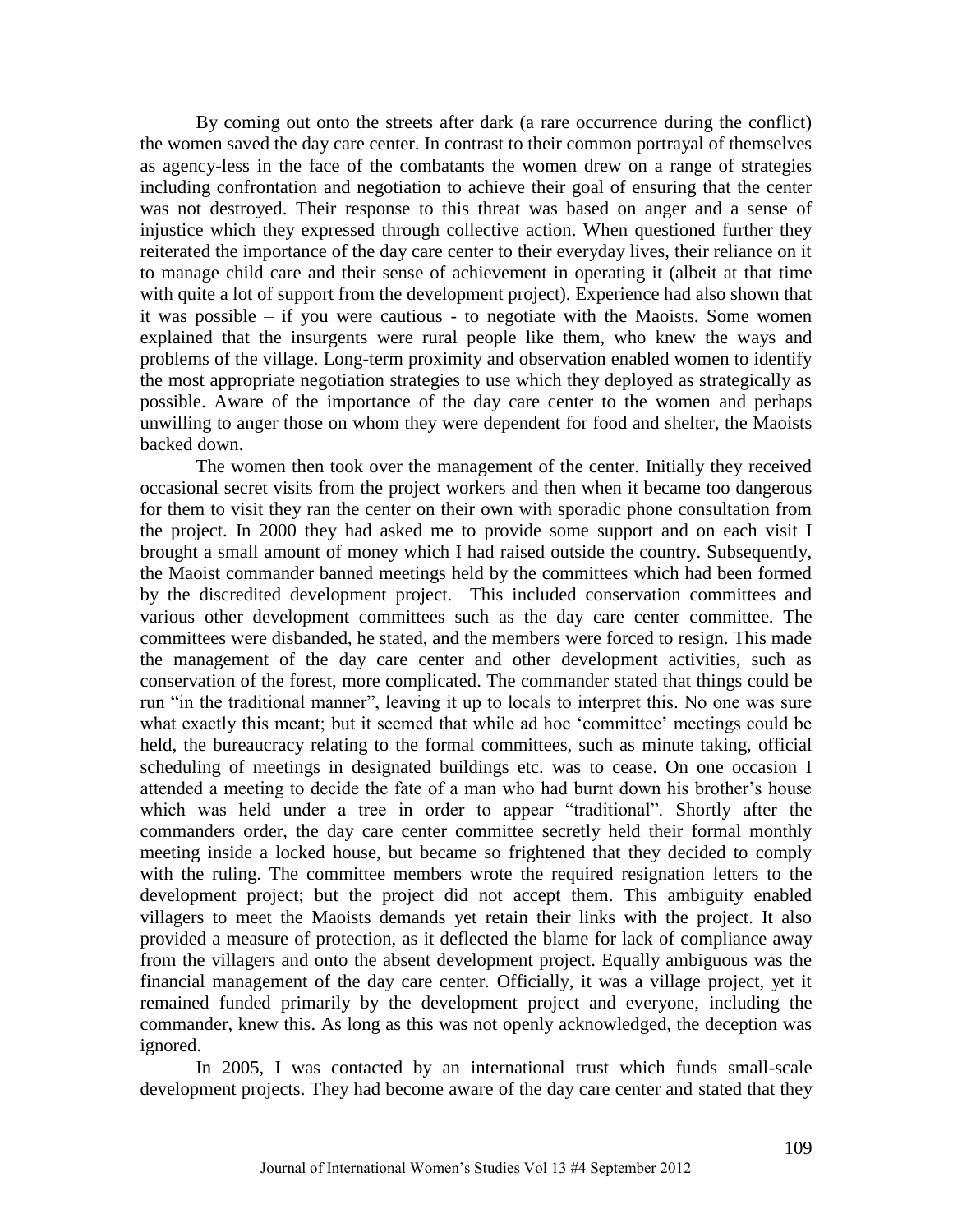By coming out onto the streets after dark (a rare occurrence during the conflict) the women saved the day care center. In contrast to their common portrayal of themselves as agency-less in the face of the combatants the women drew on a range of strategies including confrontation and negotiation to achieve their goal of ensuring that the center was not destroyed. Their response to this threat was based on anger and a sense of injustice which they expressed through collective action. When questioned further they reiterated the importance of the day care center to their everyday lives, their reliance on it to manage child care and their sense of achievement in operating it (albeit at that time with quite a lot of support from the development project). Experience had also shown that it was possible – if you were cautious - to negotiate with the Maoists. Some women explained that the insurgents were rural people like them, who knew the ways and problems of the village. Long-term proximity and observation enabled women to identify the most appropriate negotiation strategies to use which they deployed as strategically as possible. Aware of the importance of the day care center to the women and perhaps unwilling to anger those on whom they were dependent for food and shelter, the Maoists backed down.

The women then took over the management of the center. Initially they received occasional secret visits from the project workers and then when it became too dangerous for them to visit they ran the center on their own with sporadic phone consultation from the project. In 2000 they had asked me to provide some support and on each visit I brought a small amount of money which I had raised outside the country. Subsequently, the Maoist commander banned meetings held by the committees which had been formed by the discredited development project. This included conservation committees and various other development committees such as the day care center committee. The committees were disbanded, he stated, and the members were forced to resign. This made the management of the day care center and other development activities, such as conservation of the forest, more complicated. The commander stated that things could be run "in the traditional manner", leaving it up to locals to interpret this. No one was sure what exactly this meant; but it seemed that while ad hoc 'committee' meetings could be held, the bureaucracy relating to the formal committees, such as minute taking, official scheduling of meetings in designated buildings etc. was to cease. On one occasion I attended a meeting to decide the fate of a man who had burnt down his brother's house which was held under a tree in order to appear "traditional". Shortly after the commanders order, the day care center committee secretly held their formal monthly meeting inside a locked house, but became so frightened that they decided to comply with the ruling. The committee members wrote the required resignation letters to the development project; but the project did not accept them. This ambiguity enabled villagers to meet the Maoists demands yet retain their links with the project. It also provided a measure of protection, as it deflected the blame for lack of compliance away from the villagers and onto the absent development project. Equally ambiguous was the financial management of the day care center. Officially, it was a village project, yet it remained funded primarily by the development project and everyone, including the commander, knew this. As long as this was not openly acknowledged, the deception was ignored.

In 2005, I was contacted by an international trust which funds small-scale development projects. They had become aware of the day care center and stated that they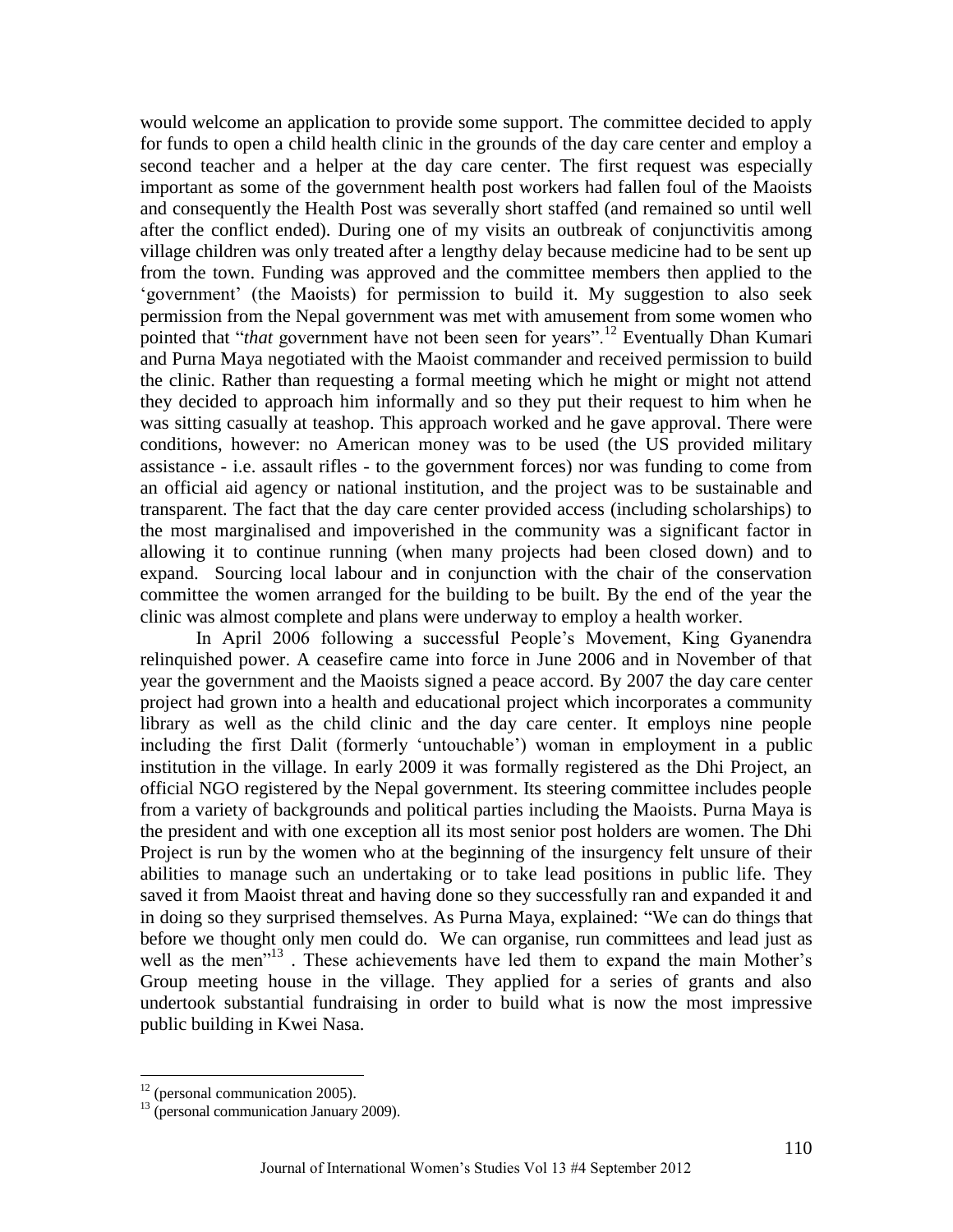would welcome an application to provide some support. The committee decided to apply for funds to open a child health clinic in the grounds of the day care center and employ a second teacher and a helper at the day care center. The first request was especially important as some of the government health post workers had fallen foul of the Maoists and consequently the Health Post was severally short staffed (and remained so until well after the conflict ended). During one of my visits an outbreak of conjunctivitis among village children was only treated after a lengthy delay because medicine had to be sent up from the town. Funding was approved and the committee members then applied to the ‗government' (the Maoists) for permission to build it. My suggestion to also seek permission from the Nepal government was met with amusement from some women who pointed that "*that* government have not been seen for years".<sup>12</sup> Eventually Dhan Kumari and Purna Maya negotiated with the Maoist commander and received permission to build the clinic. Rather than requesting a formal meeting which he might or might not attend they decided to approach him informally and so they put their request to him when he was sitting casually at teashop. This approach worked and he gave approval. There were conditions, however: no American money was to be used (the US provided military assistance - i.e. assault rifles - to the government forces) nor was funding to come from an official aid agency or national institution, and the project was to be sustainable and transparent. The fact that the day care center provided access (including scholarships) to the most marginalised and impoverished in the community was a significant factor in allowing it to continue running (when many projects had been closed down) and to expand. Sourcing local labour and in conjunction with the chair of the conservation committee the women arranged for the building to be built. By the end of the year the clinic was almost complete and plans were underway to employ a health worker.

In April 2006 following a successful People's Movement, King Gyanendra relinquished power. A ceasefire came into force in June 2006 and in November of that year the government and the Maoists signed a peace accord. By 2007 the day care center project had grown into a health and educational project which incorporates a community library as well as the child clinic and the day care center. It employs nine people including the first Dalit (formerly 'untouchable') woman in employment in a public institution in the village. In early 2009 it was formally registered as the Dhi Project, an official NGO registered by the Nepal government. Its steering committee includes people from a variety of backgrounds and political parties including the Maoists. Purna Maya is the president and with one exception all its most senior post holders are women. The Dhi Project is run by the women who at the beginning of the insurgency felt unsure of their abilities to manage such an undertaking or to take lead positions in public life. They saved it from Maoist threat and having done so they successfully ran and expanded it and in doing so they surprised themselves. As Purna Maya, explained: "We can do things that before we thought only men could do. We can organise, run committees and lead just as well as the men<sup>713</sup>. These achievements have led them to expand the main Mother's Group meeting house in the village. They applied for a series of grants and also undertook substantial fundraising in order to build what is now the most impressive public building in Kwei Nasa.

 $12$  (personal communication 2005).

 $13$  (personal communication January 2009).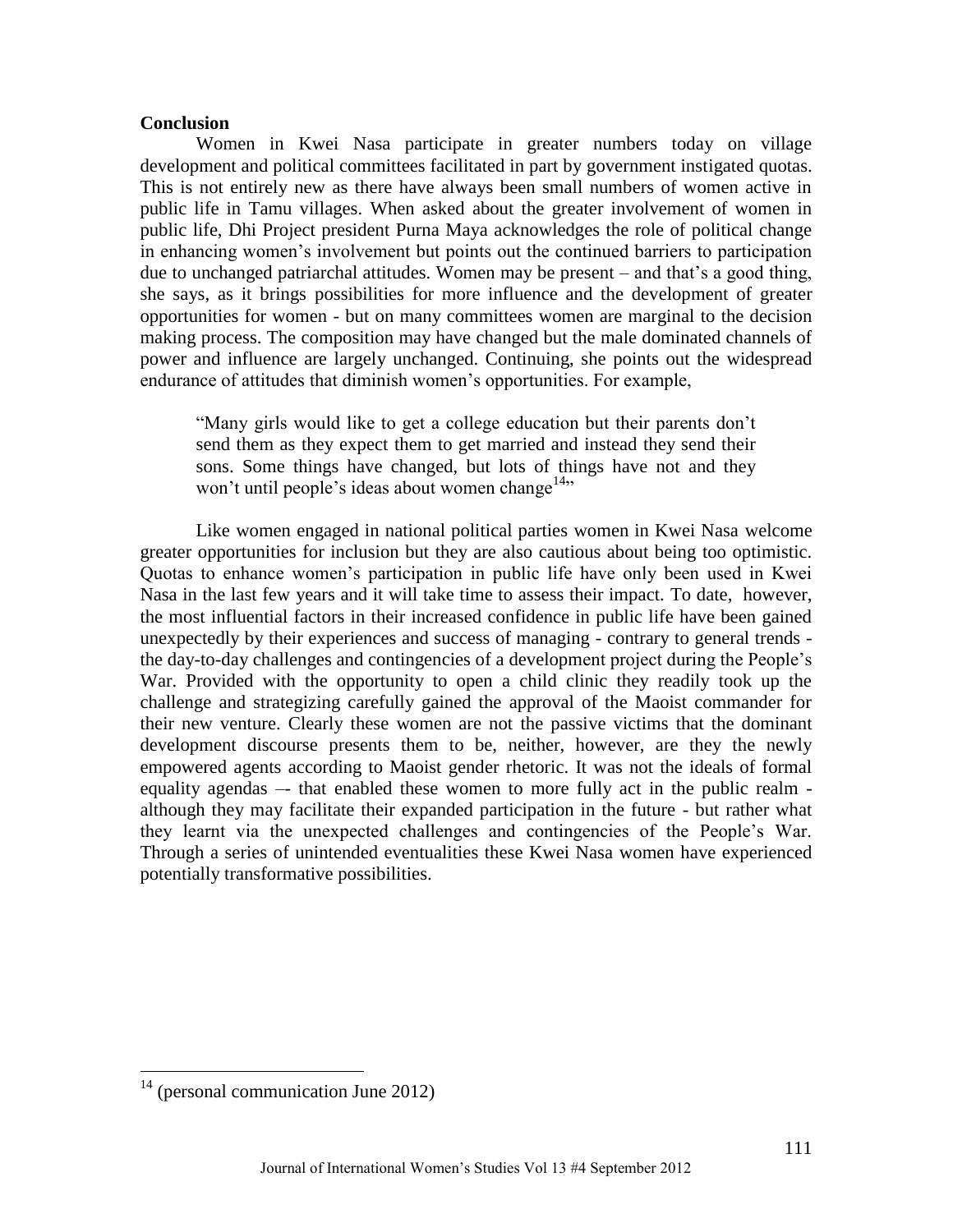## **Conclusion**

Women in Kwei Nasa participate in greater numbers today on village development and political committees facilitated in part by government instigated quotas. This is not entirely new as there have always been small numbers of women active in public life in Tamu villages. When asked about the greater involvement of women in public life, Dhi Project president Purna Maya acknowledges the role of political change in enhancing women's involvement but points out the continued barriers to participation due to unchanged patriarchal attitudes. Women may be present – and that's a good thing, she says, as it brings possibilities for more influence and the development of greater opportunities for women - but on many committees women are marginal to the decision making process. The composition may have changed but the male dominated channels of power and influence are largely unchanged. Continuing, she points out the widespread endurance of attitudes that diminish women's opportunities. For example,

―Many girls would like to get a college education but their parents don't send them as they expect them to get married and instead they send their sons. Some things have changed, but lots of things have not and they won't until people's ideas about women change<sup>14</sup>.

Like women engaged in national political parties women in Kwei Nasa welcome greater opportunities for inclusion but they are also cautious about being too optimistic. Quotas to enhance women's participation in public life have only been used in Kwei Nasa in the last few years and it will take time to assess their impact. To date, however, the most influential factors in their increased confidence in public life have been gained unexpectedly by their experiences and success of managing - contrary to general trends the day-to-day challenges and contingencies of a development project during the People's War. Provided with the opportunity to open a child clinic they readily took up the challenge and strategizing carefully gained the approval of the Maoist commander for their new venture. Clearly these women are not the passive victims that the dominant development discourse presents them to be, neither, however, are they the newly empowered agents according to Maoist gender rhetoric. It was not the ideals of formal equality agendas –- that enabled these women to more fully act in the public realm although they may facilitate their expanded participation in the future - but rather what they learnt via the unexpected challenges and contingencies of the People's War. Through a series of unintended eventualities these Kwei Nasa women have experienced potentially transformative possibilities.

 $14$  (personal communication June 2012)